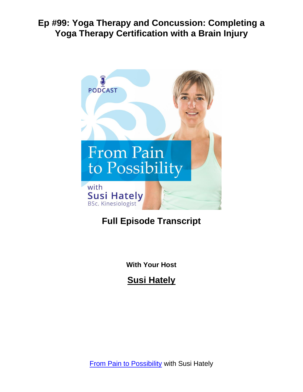

# **Full Episode Transcript**

**With Your Host**

**Susi Hately**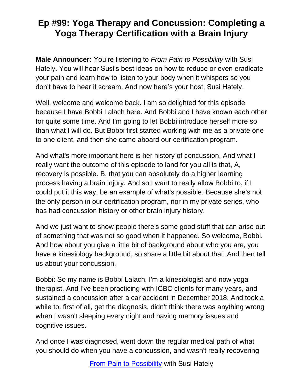**Male Announcer:** You're listening to *From Pain to Possibility* with Susi Hately. You will hear Susi's best ideas on how to reduce or even eradicate your pain and learn how to listen to your body when it whispers so you don't have to hear it scream. And now here's your host, Susi Hately.

Well, welcome and welcome back. I am so delighted for this episode because I have Bobbi Lalach here. And Bobbi and I have known each other for quite some time. And I'm going to let Bobbi introduce herself more so than what I will do. But Bobbi first started working with me as a private one to one client, and then she came aboard our certification program.

And what's more important here is her history of concussion. And what I really want the outcome of this episode to land for you all is that, A, recovery is possible. B, that you can absolutely do a higher learning process having a brain injury. And so I want to really allow Bobbi to, if I could put it this way, be an example of what's possible. Because she's not the only person in our certification program, nor in my private series, who has had concussion history or other brain injury history.

And we just want to show people there's some good stuff that can arise out of something that was not so good when it happened. So welcome, Bobbi. And how about you give a little bit of background about who you are, you have a kinesiology background, so share a little bit about that. And then tell us about your concussion.

Bobbi: So my name is Bobbi Lalach, I'm a kinesiologist and now yoga therapist. And I've been practicing with ICBC clients for many years, and sustained a concussion after a car accident in December 2018. And took a while to, first of all, get the diagnosis, didn't think there was anything wrong when I wasn't sleeping every night and having memory issues and cognitive issues.

And once I was diagnosed, went down the regular medical path of what you should do when you have a concussion, and wasn't really recovering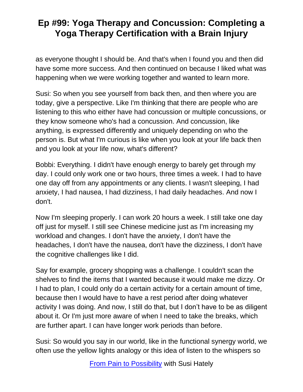as everyone thought I should be. And that's when I found you and then did have some more success. And then continued on because I liked what was happening when we were working together and wanted to learn more.

Susi: So when you see yourself from back then, and then where you are today, give a perspective. Like I'm thinking that there are people who are listening to this who either have had concussion or multiple concussions, or they know someone who's had a concussion. And concussion, like anything, is expressed differently and uniquely depending on who the person is. But what I'm curious is like when you look at your life back then and you look at your life now, what's different?

Bobbi: Everything. I didn't have enough energy to barely get through my day. I could only work one or two hours, three times a week. I had to have one day off from any appointments or any clients. I wasn't sleeping, I had anxiety, I had nausea, I had dizziness, I had daily headaches. And now I don't.

Now I'm sleeping properly. I can work 20 hours a week. I still take one day off just for myself. I still see Chinese medicine just as I'm increasing my workload and changes. I don't have the anxiety, I don't have the headaches, I don't have the nausea, don't have the dizziness, I don't have the cognitive challenges like I did.

Say for example, grocery shopping was a challenge. I couldn't scan the shelves to find the items that I wanted because it would make me dizzy. Or I had to plan, I could only do a certain activity for a certain amount of time, because then I would have to have a rest period after doing whatever activity I was doing. And now, I still do that, but I don't have to be as diligent about it. Or I'm just more aware of when I need to take the breaks, which are further apart. I can have longer work periods than before.

Susi: So would you say in our world, like in the functional synergy world, we often use the yellow lights analogy or this idea of listen to the whispers so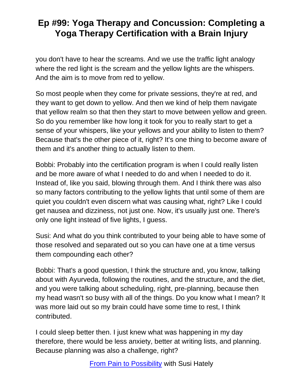you don't have to hear the screams. And we use the traffic light analogy where the red light is the scream and the yellow lights are the whispers. And the aim is to move from red to yellow.

So most people when they come for private sessions, they're at red, and they want to get down to yellow. And then we kind of help them navigate that yellow realm so that then they start to move between yellow and green. So do you remember like how long it took for you to really start to get a sense of your whispers, like your yellows and your ability to listen to them? Because that's the other piece of it, right? It's one thing to become aware of them and it's another thing to actually listen to them.

Bobbi: Probably into the certification program is when I could really listen and be more aware of what I needed to do and when I needed to do it. Instead of, like you said, blowing through them. And I think there was also so many factors contributing to the yellow lights that until some of them are quiet you couldn't even discern what was causing what, right? Like I could get nausea and dizziness, not just one. Now, it's usually just one. There's only one light instead of five lights, I guess.

Susi: And what do you think contributed to your being able to have some of those resolved and separated out so you can have one at a time versus them compounding each other?

Bobbi: That's a good question, I think the structure and, you know, talking about with Ayurveda, following the routines, and the structure, and the diet, and you were talking about scheduling, right, pre-planning, because then my head wasn't so busy with all of the things. Do you know what I mean? It was more laid out so my brain could have some time to rest, I think contributed.

I could sleep better then. I just knew what was happening in my day therefore, there would be less anxiety, better at writing lists, and planning. Because planning was also a challenge, right?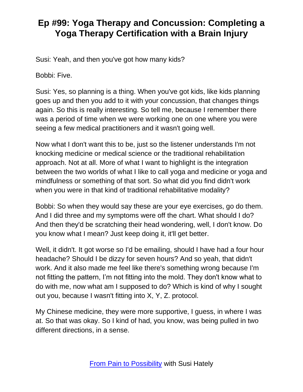Susi: Yeah, and then you've got how many kids?

Bobbi: Five.

Susi: Yes, so planning is a thing. When you've got kids, like kids planning goes up and then you add to it with your concussion, that changes things again. So this is really interesting. So tell me, because I remember there was a period of time when we were working one on one where you were seeing a few medical practitioners and it wasn't going well.

Now what I don't want this to be, just so the listener understands I'm not knocking medicine or medical science or the traditional rehabilitation approach. Not at all. More of what I want to highlight is the integration between the two worlds of what I like to call yoga and medicine or yoga and mindfulness or something of that sort. So what did you find didn't work when you were in that kind of traditional rehabilitative modality?

Bobbi: So when they would say these are your eye exercises, go do them. And I did three and my symptoms were off the chart. What should I do? And then they'd be scratching their head wondering, well, I don't know. Do you know what I mean? Just keep doing it, it'll get better.

Well, it didn't. It got worse so I'd be emailing, should I have had a four hour headache? Should I be dizzy for seven hours? And so yeah, that didn't work. And it also made me feel like there's something wrong because I'm not fitting the pattern, I'm not fitting into the mold. They don't know what to do with me, now what am I supposed to do? Which is kind of why I sought out you, because I wasn't fitting into X, Y, Z. protocol.

My Chinese medicine, they were more supportive, I guess, in where I was at. So that was okay. So I kind of had, you know, was being pulled in two different directions, in a sense.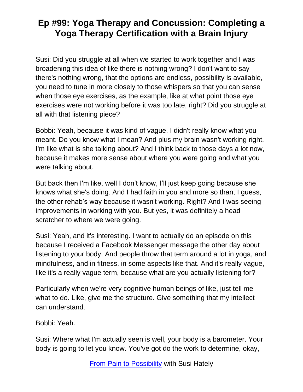Susi: Did you struggle at all when we started to work together and I was broadening this idea of like there is nothing wrong? I don't want to say there's nothing wrong, that the options are endless, possibility is available, you need to tune in more closely to those whispers so that you can sense when those eye exercises, as the example, like at what point those eye exercises were not working before it was too late, right? Did you struggle at all with that listening piece?

Bobbi: Yeah, because it was kind of vague. I didn't really know what you meant. Do you know what I mean? And plus my brain wasn't working right, I'm like what is she talking about? And I think back to those days a lot now, because it makes more sense about where you were going and what you were talking about.

But back then I'm like, well I don't know, I'll just keep going because she knows what she's doing. And I had faith in you and more so than, I guess, the other rehab's way because it wasn't working. Right? And I was seeing improvements in working with you. But yes, it was definitely a head scratcher to where we were going.

Susi: Yeah, and it's interesting. I want to actually do an episode on this because I received a Facebook Messenger message the other day about listening to your body. And people throw that term around a lot in yoga, and mindfulness, and in fitness, in some aspects like that. And it's really vague, like it's a really vague term, because what are you actually listening for?

Particularly when we're very cognitive human beings of like, just tell me what to do. Like, give me the structure. Give something that my intellect can understand.

Bobbi: Yeah.

Susi: Where what I'm actually seen is well, your body is a barometer. Your body is going to let you know. You've got do the work to determine, okay,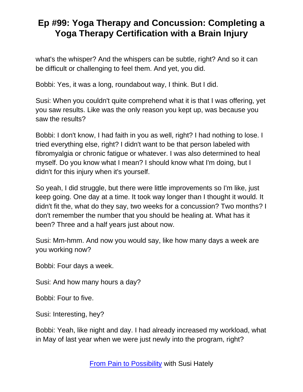what's the whisper? And the whispers can be subtle, right? And so it can be difficult or challenging to feel them. And yet, you did.

Bobbi: Yes, it was a long, roundabout way, I think. But I did.

Susi: When you couldn't quite comprehend what it is that I was offering, yet you saw results. Like was the only reason you kept up, was because you saw the results?

Bobbi: I don't know, I had faith in you as well, right? I had nothing to lose. I tried everything else, right? I didn't want to be that person labeled with fibromyalgia or chronic fatigue or whatever. I was also determined to heal myself. Do you know what I mean? I should know what I'm doing, but I didn't for this injury when it's yourself.

So yeah, I did struggle, but there were little improvements so I'm like, just keep going. One day at a time. It took way longer than I thought it would. It didn't fit the, what do they say, two weeks for a concussion? Two months? I don't remember the number that you should be healing at. What has it been? Three and a half years just about now.

Susi: Mm-hmm. And now you would say, like how many days a week are you working now?

Bobbi: Four days a week.

Susi: And how many hours a day?

Bobbi: Four to five.

Susi: Interesting, hey?

Bobbi: Yeah, like night and day. I had already increased my workload, what in May of last year when we were just newly into the program, right?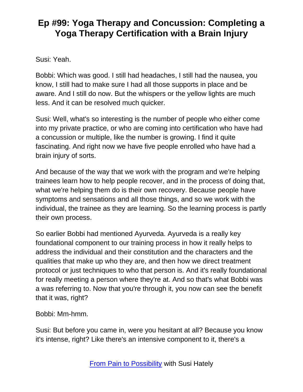Susi: Yeah.

Bobbi: Which was good. I still had headaches, I still had the nausea, you know, I still had to make sure I had all those supports in place and be aware. And I still do now. But the whispers or the yellow lights are much less. And it can be resolved much quicker.

Susi: Well, what's so interesting is the number of people who either come into my private practice, or who are coming into certification who have had a concussion or multiple, like the number is growing. I find it quite fascinating. And right now we have five people enrolled who have had a brain injury of sorts.

And because of the way that we work with the program and we're helping trainees learn how to help people recover, and in the process of doing that, what we're helping them do is their own recovery. Because people have symptoms and sensations and all those things, and so we work with the individual, the trainee as they are learning. So the learning process is partly their own process.

So earlier Bobbi had mentioned Ayurveda. Ayurveda is a really key foundational component to our training process in how it really helps to address the individual and their constitution and the characters and the qualities that make up who they are, and then how we direct treatment protocol or just techniques to who that person is. And it's really foundational for really meeting a person where they're at. And so that's what Bobbi was a was referring to. Now that you're through it, you now can see the benefit that it was, right?

Bobbi: Mm-hmm.

Susi: But before you came in, were you hesitant at all? Because you know it's intense, right? Like there's an intensive component to it, there's a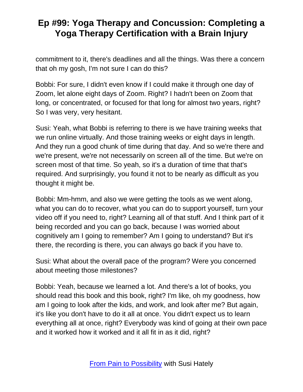commitment to it, there's deadlines and all the things. Was there a concern that oh my gosh, I'm not sure I can do this?

Bobbi: For sure, I didn't even know if I could make it through one day of Zoom, let alone eight days of Zoom. Right? I hadn't been on Zoom that long, or concentrated, or focused for that long for almost two years, right? So I was very, very hesitant.

Susi: Yeah, what Bobbi is referring to there is we have training weeks that we run online virtually. And those training weeks or eight days in length. And they run a good chunk of time during that day. And so we're there and we're present, we're not necessarily on screen all of the time. But we're on screen most of that time. So yeah, so it's a duration of time that that's required. And surprisingly, you found it not to be nearly as difficult as you thought it might be.

Bobbi: Mm-hmm, and also we were getting the tools as we went along, what you can do to recover, what you can do to support yourself, turn your video off if you need to, right? Learning all of that stuff. And I think part of it being recorded and you can go back, because I was worried about cognitively am I going to remember? Am I going to understand? But it's there, the recording is there, you can always go back if you have to.

Susi: What about the overall pace of the program? Were you concerned about meeting those milestones?

Bobbi: Yeah, because we learned a lot. And there's a lot of books, you should read this book and this book, right? I'm like, oh my goodness, how am I going to look after the kids, and work, and look after me? But again, it's like you don't have to do it all at once. You didn't expect us to learn everything all at once, right? Everybody was kind of going at their own pace and it worked how it worked and it all fit in as it did, right?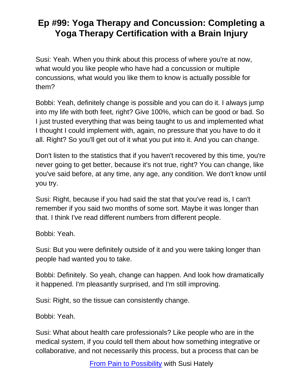Susi: Yeah. When you think about this process of where you're at now, what would you like people who have had a concussion or multiple concussions, what would you like them to know is actually possible for them?

Bobbi: Yeah, definitely change is possible and you can do it. I always jump into my life with both feet, right? Give 100%, which can be good or bad. So I just trusted everything that was being taught to us and implemented what I thought I could implement with, again, no pressure that you have to do it all. Right? So you'll get out of it what you put into it. And you can change.

Don't listen to the statistics that if you haven't recovered by this time, you're never going to get better, because it's not true, right? You can change, like you've said before, at any time, any age, any condition. We don't know until you try.

Susi: Right, because if you had said the stat that you've read is, I can't remember if you said two months of some sort. Maybe it was longer than that. I think I've read different numbers from different people.

Bobbi: Yeah.

Susi: But you were definitely outside of it and you were taking longer than people had wanted you to take.

Bobbi: Definitely. So yeah, change can happen. And look how dramatically it happened. I'm pleasantly surprised, and I'm still improving.

Susi: Right, so the tissue can consistently change.

Bobbi: Yeah.

Susi: What about health care professionals? Like people who are in the medical system, if you could tell them about how something integrative or collaborative, and not necessarily this process, but a process that can be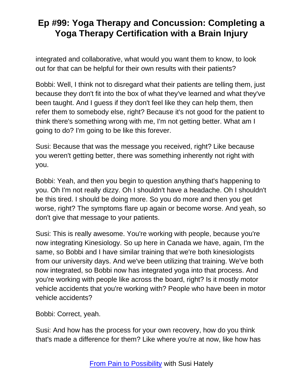integrated and collaborative, what would you want them to know, to look out for that can be helpful for their own results with their patients?

Bobbi: Well, I think not to disregard what their patients are telling them, just because they don't fit into the box of what they've learned and what they've been taught. And I guess if they don't feel like they can help them, then refer them to somebody else, right? Because it's not good for the patient to think there's something wrong with me, I'm not getting better. What am I going to do? I'm going to be like this forever.

Susi: Because that was the message you received, right? Like because you weren't getting better, there was something inherently not right with you.

Bobbi: Yeah, and then you begin to question anything that's happening to you. Oh I'm not really dizzy. Oh I shouldn't have a headache. Oh I shouldn't be this tired. I should be doing more. So you do more and then you get worse, right? The symptoms flare up again or become worse. And yeah, so don't give that message to your patients.

Susi: This is really awesome. You're working with people, because you're now integrating Kinesiology. So up here in Canada we have, again, I'm the same, so Bobbi and I have similar training that we're both kinesiologists from our university days. And we've been utilizing that training. We've both now integrated, so Bobbi now has integrated yoga into that process. And you're working with people like across the board, right? Is it mostly motor vehicle accidents that you're working with? People who have been in motor vehicle accidents?

Bobbi: Correct, yeah.

Susi: And how has the process for your own recovery, how do you think that's made a difference for them? Like where you're at now, like how has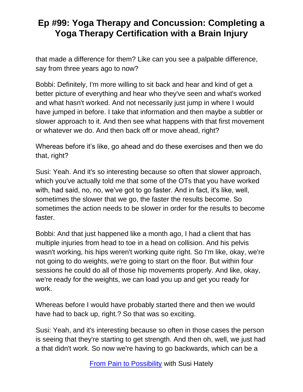that made a difference for them? Like can you see a palpable difference, say from three years ago to now?

Bobbi: Definitely, I'm more willing to sit back and hear and kind of get a better picture of everything and hear who they've seen and what's worked and what hasn't worked. And not necessarily just jump in where I would have jumped in before. I take that information and then maybe a subtler or slower approach to it. And then see what happens with that first movement or whatever we do. And then back off or move ahead, right?

Whereas before it's like, go ahead and do these exercises and then we do that, right?

Susi: Yeah. And it's so interesting because so often that slower approach, which you've actually told me that some of the OTs that you have worked with, had said, no, no, we've got to go faster. And in fact, it's like, well, sometimes the slower that we go, the faster the results become. So sometimes the action needs to be slower in order for the results to become faster.

Bobbi: And that just happened like a month ago, I had a client that has multiple injuries from head to toe in a head on collision. And his pelvis wasn't working, his hips weren't working quite right. So I'm like, okay, we're not going to do weights, we're going to start on the floor. But within four sessions he could do all of those hip movements properly. And like, okay, we're ready for the weights, we can load you up and get you ready for work.

Whereas before I would have probably started there and then we would have had to back up, right.? So that was so exciting.

Susi: Yeah, and it's interesting because so often in those cases the person is seeing that they're starting to get strength. And then oh, well, we just had a that didn't work. So now we're having to go backwards, which can be a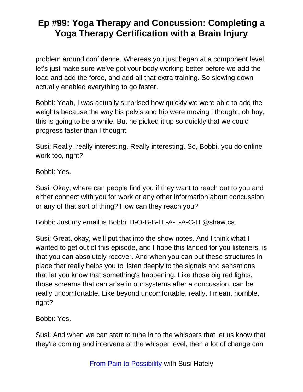problem around confidence. Whereas you just began at a component level, let's just make sure we've got your body working better before we add the load and add the force, and add all that extra training. So slowing down actually enabled everything to go faster.

Bobbi: Yeah, I was actually surprised how quickly we were able to add the weights because the way his pelvis and hip were moving I thought, oh boy, this is going to be a while. But he picked it up so quickly that we could progress faster than I thought.

Susi: Really, really interesting. Really interesting. So, Bobbi, you do online work too, right?

Bobbi: Yes.

Susi: Okay, where can people find you if they want to reach out to you and either connect with you for work or any other information about concussion or any of that sort of thing? How can they reach you?

Bobbi: Just my email is Bobbi, B-O-B-B-l L-A-L-A-C-H @shaw.ca.

Susi: Great, okay, we'll put that into the show notes. And I think what I wanted to get out of this episode, and I hope this landed for you listeners, is that you can absolutely recover. And when you can put these structures in place that really helps you to listen deeply to the signals and sensations that let you know that something's happening. Like those big red lights, those screams that can arise in our systems after a concussion, can be really uncomfortable. Like beyond uncomfortable, really, I mean, horrible, right?

Bobbi: Yes.

Susi: And when we can start to tune in to the whispers that let us know that they're coming and intervene at the whisper level, then a lot of change can